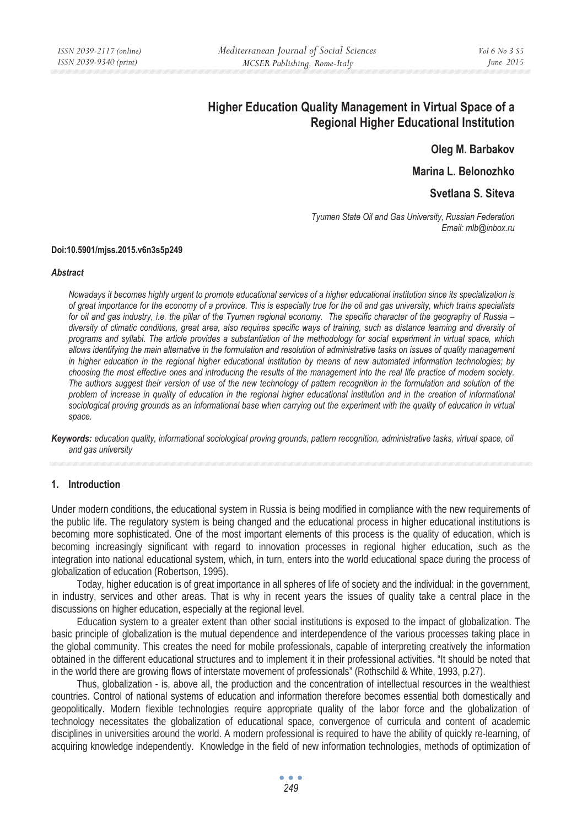# **Higher Education Quality Management in Virtual Space of a Regional Higher Educational Institution**

**Oleg M. Barbakov** 

**Marina L. Belonozhko** 

**Svetlana S. Siteva** 

*Tyumen State Oil and Gas University, Russian Federation Email: mlb@inbox.ru* 

#### **Doi:10.5901/mjss.2015.v6n3s5p249**

#### *Abstract*

*Nowadays it becomes highly urgent to promote educational services of a higher educational institution since its specialization is of great importance for the economy of a province. This is especially true for the oil and gas university, which trains specialists*  for oil and gas industry, i.e. the pillar of the Tyumen regional economy. The specific character of the geography of Russia – *diversity of climatic conditions, great area, also requires specific ways of training, such as distance learning and diversity of programs and syllabi. The article provides a substantiation of the methodology for social experiment in virtual space, which allows identifying the main alternative in the formulation and resolution of administrative tasks on issues of quality management in higher education in the regional higher educational institution by means of new automated information technologies; by choosing the most effective ones and introducing the results of the management into the real life practice of modern society. The authors suggest their version of use of the new technology of pattern recognition in the formulation and solution of the problem of increase in quality of education in the regional higher educational institution and in the creation of informational sociological proving grounds as an informational base when carrying out the experiment with the quality of education in virtual space.* 

*Keywords: education quality, informational sociological proving grounds, pattern recognition, administrative tasks, virtual space, oil and gas university*

# **1. Introduction**

Under modern conditions, the educational system in Russia is being modified in compliance with the new requirements of the public life. The regulatory system is being changed and the educational process in higher educational institutions is becoming more sophisticated. One of the most important elements of this process is the quality of education, which is becoming increasingly significant with regard to innovation processes in regional higher education, such as the integration into national educational system, which, in turn, enters into the world educational space during the process of globalization of education (Robertson, 1995).

Today, higher education is of great importance in all spheres of life of society and the individual: in the government, in industry, services and other areas. That is why in recent years the issues of quality take a central place in the discussions on higher education, especially at the regional level.

Education system to a greater extent than other social institutions is exposed to the impact of globalization. The basic principle of globalization is the mutual dependence and interdependence of the various processes taking place in the global community. This creates the need for mobile professionals, capable of interpreting creatively the information obtained in the different educational structures and to implement it in their professional activities. "It should be noted that in the world there are growing flows of interstate movement of professionals" (Rothschild & White, 1993, p.27).

Thus, globalization - is, above all, the production and the concentration of intellectual resources in the wealthiest countries. Control of national systems of education and information therefore becomes essential both domestically and geopolitically. Modern flexible technologies require appropriate quality of the labor force and the globalization of technology necessitates the globalization of educational space, convergence of curricula and content of academic disciplines in universities around the world. A modern professional is required to have the ability of quickly re-learning, of acquiring knowledge independently. Knowledge in the field of new information technologies, methods of optimization of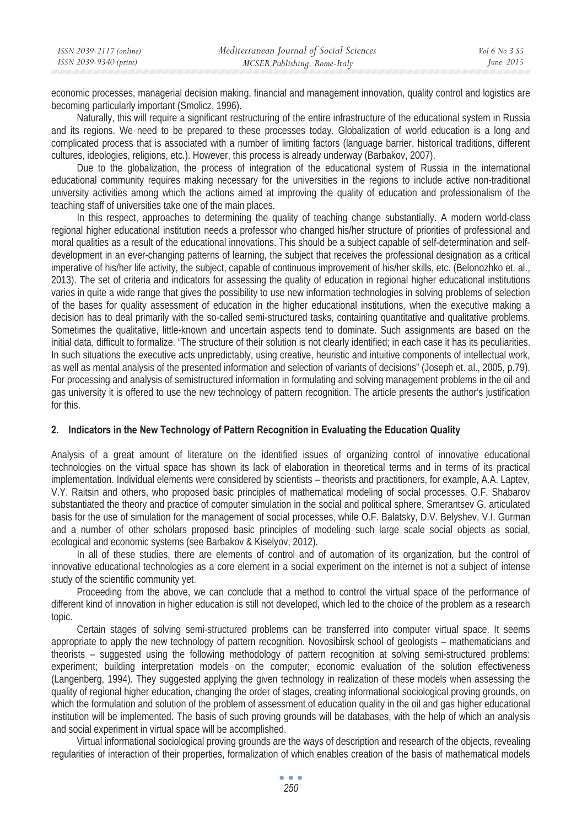| ISSN 2039-2117 (online) | Mediterranean Journal of Social Sciences | Vol 6 No 3 S5 |
|-------------------------|------------------------------------------|---------------|
| ISSN 2039-9340 (print)  | MCSER Publishing, Rome-Italy             | June $2015$   |

economic processes, managerial decision making, financial and management innovation, quality control and logistics are becoming particularly important (Smolicz, 1996).

Naturally, this will require a significant restructuring of the entire infrastructure of the educational system in Russia and its regions. We need to be prepared to these processes today. Globalization of world education is a long and complicated process that is associated with a number of limiting factors (language barrier, historical traditions, different cultures, ideologies, religions, etc.). However, this process is already underway (Barbakov, 2007).

Due to the globalization, the process of integration of the educational system of Russia in the international educational community requires making necessary for the universities in the regions to include active non-traditional university activities among which the actions aimed at improving the quality of education and professionalism of the teaching staff of universities take one of the main places.

In this respect, approaches to determining the quality of teaching change substantially. A modern world-class regional higher educational institution needs a professor who changed his/her structure of priorities of professional and moral qualities as a result of the educational innovations. This should be a subject capable of self-determination and selfdevelopment in an ever-changing patterns of learning, the subject that receives the professional designation as a critical imperative of his/her life activity, the subject, capable of continuous improvement of his/her skills, etc. (Belonozhko et. al., 2013). The set of criteria and indicators for assessing the quality of education in regional higher educational institutions varies in quite a wide range that gives the possibility to use new information technologies in solving problems of selection of the bases for quality assessment of education in the higher educational institutions, when the executive making a decision has to deal primarily with the so-called semi-structured tasks, containing quantitative and qualitative problems. Sometimes the qualitative, little-known and uncertain aspects tend to dominate. Such assignments are based on the initial data, difficult to formalize. "The structure of their solution is not clearly identified; in each case it has its peculiarities. In such situations the executive acts unpredictably, using creative, heuristic and intuitive components of intellectual work, as well as mental analysis of the presented information and selection of variants of decisions" (Joseph et. al., 2005, p.79). For processing and analysis of semistructured information in formulating and solving management problems in the oil and gas university it is offered to use the new technology of pattern recognition. The article presents the author's justification for this.

# **2. Indicators in the New Technology of Pattern Recognition in Evaluating the Education Quality**

Analysis of a great amount of literature on the identified issues of organizing control of innovative educational technologies on the virtual space has shown its lack of elaboration in theoretical terms and in terms of its practical implementation. Individual elements were considered by scientists – theorists and practitioners, for example, A.A. Laptev, V.Y. Raitsin and others, who proposed basic principles of mathematical modeling of social processes. O.F. Shabarov substantiated the theory and practice of computer simulation in the social and political sphere, Smerantsev G. articulated basis for the use of simulation for the management of social processes, while O.F. Balatsky, D.V. Belyshev, V.I. Gurman and a number of other scholars proposed basic principles of modeling such large scale social objects as social, ecological and economic systems (see Barbakov & Kiselyov, 2012).

In all of these studies, there are elements of control and of automation of its organization, but the control of innovative educational technologies as a core element in a social experiment on the internet is not a subject of intense study of the scientific community yet.

Proceeding from the above, we can conclude that a method to control the virtual space of the performance of different kind of innovation in higher education is still not developed, which led to the choice of the problem as a research topic.

Certain stages of solving semi-structured problems can be transferred into computer virtual space. It seems appropriate to apply the new technology of pattern recognition. Novosibirsk school of geologists – mathematicians and theorists – suggested using the following methodology of pattern recognition at solving semi-structured problems: experiment; building interpretation models on the computer; economic evaluation of the solution effectiveness (Langenberg, 1994). They suggested applying the given technology in realization of these models when assessing the quality of regional higher education, changing the order of stages, creating informational sociological proving grounds, on which the formulation and solution of the problem of assessment of education quality in the oil and gas higher educational institution will be implemented. The basis of such proving grounds will be databases, with the help of which an analysis and social experiment in virtual space will be accomplished.

Virtual informational sociological proving grounds are the ways of description and research of the objects, revealing regularities of interaction of their properties, formalization of which enables creation of the basis of mathematical models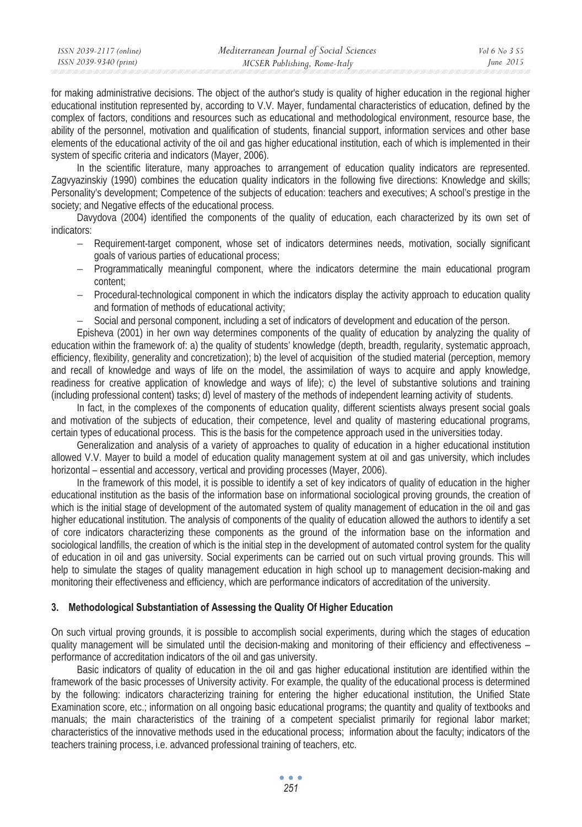| ISSN 2039-2117 (online) | Mediterranean Journal of Social Sciences | Vol 6 No 3 S5 |
|-------------------------|------------------------------------------|---------------|
| ISSN 2039-9340 (print)  | MCSER Publishing, Rome-Italy             | June $2015$   |
|                         |                                          |               |

for making administrative decisions. The object of the author's study is quality of higher education in the regional higher educational institution represented by, according to V.V. Mayer, fundamental characteristics of education, defined by the complex of factors, conditions and resources such as educational and methodological environment, resource base, the ability of the personnel, motivation and qualification of students, financial support, information services and other base elements of the educational activity of the oil and gas higher educational institution, each of which is implemented in their system of specific criteria and indicators (Mayer, 2006).

In the scientific literature, many approaches to arrangement of education quality indicators are represented. Zagvyazinskiy (1990) combines the education quality indicators in the following five directions: Knowledge and skills; Personality's development; Competence of the subjects of education: teachers and executives; A school's prestige in the society; and Negative effects of the educational process.

Davydova (2004) identified the components of the quality of education, each characterized by its own set of indicators:

- − Requirement-target component, whose set of indicators determines needs, motivation, socially significant goals of various parties of educational process;
- − Programmatically meaningful component, where the indicators determine the main educational program content;
- − Procedural-technological component in which the indicators display the activity approach to education quality and formation of methods of educational activity;
- − Social and personal component, including a set of indicators of development and education of the person.

Episheva (2001) in her own way determines components of the quality of education by analyzing the quality of education within the framework of: a) the quality of students' knowledge (depth, breadth, regularity, systematic approach, efficiency, flexibility, generality and concretization); b) the level of acquisition of the studied material (perception, memory and recall of knowledge and ways of life on the model, the assimilation of ways to acquire and apply knowledge, readiness for creative application of knowledge and ways of life); c) the level of substantive solutions and training (including professional content) tasks; d) level of mastery of the methods of independent learning activity of students.

In fact, in the complexes of the components of education quality, different scientists always present social goals and motivation of the subjects of education, their competence, level and quality of mastering educational programs, certain types of educational process. This is the basis for the competence approach used in the universities today.

Generalization and analysis of a variety of approaches to quality of education in a higher educational institution allowed V.V. Mayer to build a model of education quality management system at oil and gas university, which includes horizontal – essential and accessory, vertical and providing processes (Mayer, 2006).

In the framework of this model, it is possible to identify a set of key indicators of quality of education in the higher educational institution as the basis of the information base on informational sociological proving grounds, the creation of which is the initial stage of development of the automated system of quality management of education in the oil and gas higher educational institution. The analysis of components of the quality of education allowed the authors to identify a set of core indicators characterizing these components as the ground of the information base on the information and sociological landfills, the creation of which is the initial step in the development of automated control system for the quality of education in oil and gas university. Social experiments can be carried out on such virtual proving grounds. This will help to simulate the stages of quality management education in high school up to management decision-making and monitoring their effectiveness and efficiency, which are performance indicators of accreditation of the university.

# **3. Methodological Substantiation of Assessing the Quality Of Higher Education**

On such virtual proving grounds, it is possible to accomplish social experiments, during which the stages of education quality management will be simulated until the decision-making and monitoring of their efficiency and effectiveness – performance of accreditation indicators of the oil and gas university.

Basic indicators of quality of education in the oil and gas higher educational institution are identified within the framework of the basic processes of University activity. For example, the quality of the educational process is determined by the following: indicators characterizing training for entering the higher educational institution, the Unified State Examination score, etc.; information on all ongoing basic educational programs; the quantity and quality of textbooks and manuals; the main characteristics of the training of a competent specialist primarily for regional labor market; characteristics of the innovative methods used in the educational process; information about the faculty; indicators of the teachers training process, i.e. advanced professional training of teachers, etc.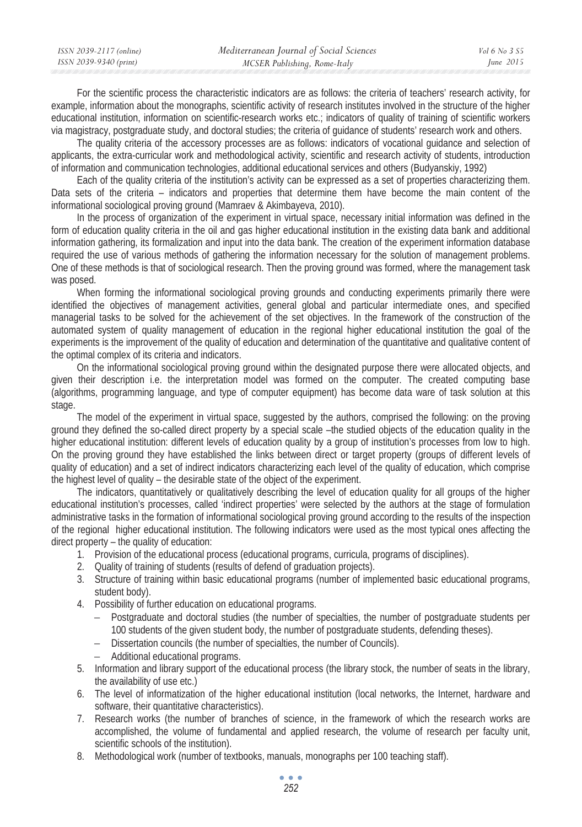| ISSN 2039-2117 (online) | Mediterranean Journal of Social Sciences | Vol 6 No. 3 S5 |
|-------------------------|------------------------------------------|----------------|
| ISSN 2039-9340 (print)  | MCSER Publishing, Rome-Italy             | June $2015$    |
|                         |                                          |                |

For the scientific process the characteristic indicators are as follows: the criteria of teachers' research activity, for example, information about the monographs, scientific activity of research institutes involved in the structure of the higher educational institution, information on scientific-research works etc.; indicators of quality of training of scientific workers via magistracy, postgraduate study, and doctoral studies; the criteria of guidance of students' research work and others.

The quality criteria of the accessory processes are as follows: indicators of vocational guidance and selection of applicants, the extra-curricular work and methodological activity, scientific and research activity of students, introduction of information and communication technologies, additional educational services and others (Budyanskiy, 1992)

Each of the quality criteria of the institution's activity can be expressed as a set of properties characterizing them. Data sets of the criteria – indicators and properties that determine them have become the main content of the informational sociological proving ground (Mamraev & Akimbayeva, 2010).

In the process of organization of the experiment in virtual space, necessary initial information was defined in the form of education quality criteria in the oil and gas higher educational institution in the existing data bank and additional information gathering, its formalization and input into the data bank. The creation of the experiment information database required the use of various methods of gathering the information necessary for the solution of management problems. One of these methods is that of sociological research. Then the proving ground was formed, where the management task was posed.

When forming the informational sociological proving grounds and conducting experiments primarily there were identified the objectives of management activities, general global and particular intermediate ones, and specified managerial tasks to be solved for the achievement of the set objectives. In the framework of the construction of the automated system of quality management of education in the regional higher educational institution the goal of the experiments is the improvement of the quality of education and determination of the quantitative and qualitative content of the optimal complex of its criteria and indicators.

On the informational sociological proving ground within the designated purpose there were allocated objects, and given their description i.e. the interpretation model was formed on the computer. The created computing base (algorithms, programming language, and type of computer equipment) has become data ware of task solution at this stage.

The model of the experiment in virtual space, suggested by the authors, comprised the following: on the proving ground they defined the so-called direct property by a special scale –the studied objects of the education quality in the higher educational institution: different levels of education quality by a group of institution's processes from low to high. On the proving ground they have established the links between direct or target property (groups of different levels of quality of education) and a set of indirect indicators characterizing each level of the quality of education, which comprise the highest level of quality – the desirable state of the object of the experiment.

The indicators, quantitatively or qualitatively describing the level of education quality for all groups of the higher educational institution's processes, called 'indirect properties' were selected by the authors at the stage of formulation administrative tasks in the formation of informational sociological proving ground according to the results of the inspection of the regional higher educational institution. The following indicators were used as the most typical ones affecting the direct property – the quality of education:

- 1. Provision of the educational process (educational programs, curricula, programs of disciplines).
- 2. Quality of training of students (results of defend of graduation projects).
- 3. Structure of training within basic educational programs (number of implemented basic educational programs, student body).
- 4. Possibility of further education on educational programs.
	- − Postgraduate and doctoral studies (the number of specialties, the number of postgraduate students per 100 students of the given student body, the number of postgraduate students, defending theses).
	- − Dissertation councils (the number of specialties, the number of Councils).
	- − Additional educational programs.
- 5. Information and library support of the educational process (the library stock, the number of seats in the library, the availability of use etc.)
- 6. The level of informatization of the higher educational institution (local networks, the Internet, hardware and software, their quantitative characteristics).
- 7. Research works (the number of branches of science, in the framework of which the research works are accomplished, the volume of fundamental and applied research, the volume of research per faculty unit, scientific schools of the institution).
- 8. Methodological work (number of textbooks, manuals, monographs per 100 teaching staff).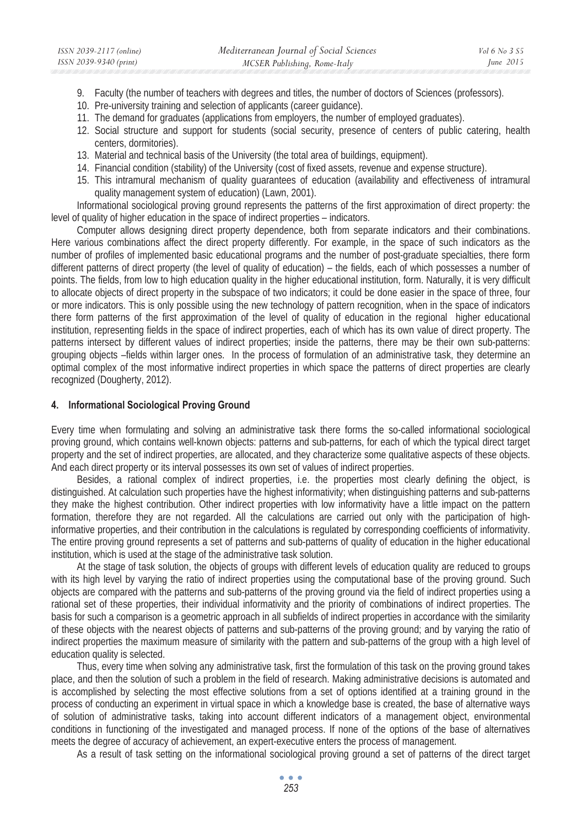- 9. Faculty (the number of teachers with degrees and titles, the number of doctors of Sciences (professors).
- 10. Pre-university training and selection of applicants (career guidance).
- 11. The demand for graduates (applications from employers, the number of employed graduates).
- 12. Social structure and support for students (social security, presence of centers of public catering, health centers, dormitories).
- 13. Material and technical basis of the University (the total area of buildings, equipment).
- 14. Financial condition (stability) of the University (cost of fixed assets, revenue and expense structure).
- 15. This intramural mechanism of quality guarantees of education (availability and effectiveness of intramural quality management system of education) (Lawn, 2001).

Informational sociological proving ground represents the patterns of the first approximation of direct property: the level of quality of higher education in the space of indirect properties – indicators.

Computer allows designing direct property dependence, both from separate indicators and their combinations. Here various combinations affect the direct property differently. For example, in the space of such indicators as the number of profiles of implemented basic educational programs and the number of post-graduate specialties, there form different patterns of direct property (the level of quality of education) – the fields, each of which possesses a number of points. The fields, from low to high education quality in the higher educational institution, form. Naturally, it is very difficult to allocate objects of direct property in the subspace of two indicators; it could be done easier in the space of three, four or more indicators. This is only possible using the new technology of pattern recognition, when in the space of indicators there form patterns of the first approximation of the level of quality of education in the regional higher educational institution, representing fields in the space of indirect properties, each of which has its own value of direct property. The patterns intersect by different values of indirect properties; inside the patterns, there may be their own sub-patterns: grouping objects –fields within larger ones. In the process of formulation of an administrative task, they determine an optimal complex of the most informative indirect properties in which space the patterns of direct properties are clearly recognized (Dougherty, 2012).

## **4. Informational Sociological Proving Ground**

Every time when formulating and solving an administrative task there forms the so-called informational sociological proving ground, which contains well-known objects: patterns and sub-patterns, for each of which the typical direct target property and the set of indirect properties, are allocated, and they characterize some qualitative aspects of these objects. And each direct property or its interval possesses its own set of values of indirect properties.

Besides, a rational complex of indirect properties, i.e. the properties most clearly defining the object, is distinguished. At calculation such properties have the highest informativity; when distinguishing patterns and sub-patterns they make the highest contribution. Other indirect properties with low informativity have a little impact on the pattern formation, therefore they are not regarded. All the calculations are carried out only with the participation of highinformative properties, and their contribution in the calculations is regulated by corresponding coefficients of informativity. The entire proving ground represents a set of patterns and sub-patterns of quality of education in the higher educational institution, which is used at the stage of the administrative task solution.

At the stage of task solution, the objects of groups with different levels of education quality are reduced to groups with its high level by varying the ratio of indirect properties using the computational base of the proving ground. Such objects are compared with the patterns and sub-patterns of the proving ground via the field of indirect properties using a rational set of these properties, their individual informativity and the priority of combinations of indirect properties. The basis for such a comparison is a geometric approach in all subfields of indirect properties in accordance with the similarity of these objects with the nearest objects of patterns and sub-patterns of the proving ground; and by varying the ratio of indirect properties the maximum measure of similarity with the pattern and sub-patterns of the group with a high level of education quality is selected.

Thus, every time when solving any administrative task, first the formulation of this task on the proving ground takes place, and then the solution of such a problem in the field of research. Making administrative decisions is automated and is accomplished by selecting the most effective solutions from a set of options identified at a training ground in the process of conducting an experiment in virtual space in which a knowledge base is created, the base of alternative ways of solution of administrative tasks, taking into account different indicators of a management object, environmental conditions in functioning of the investigated and managed process. If none of the options of the base of alternatives meets the degree of accuracy of achievement, an expert-executive enters the process of management.

As a result of task setting on the informational sociological proving ground a set of patterns of the direct target